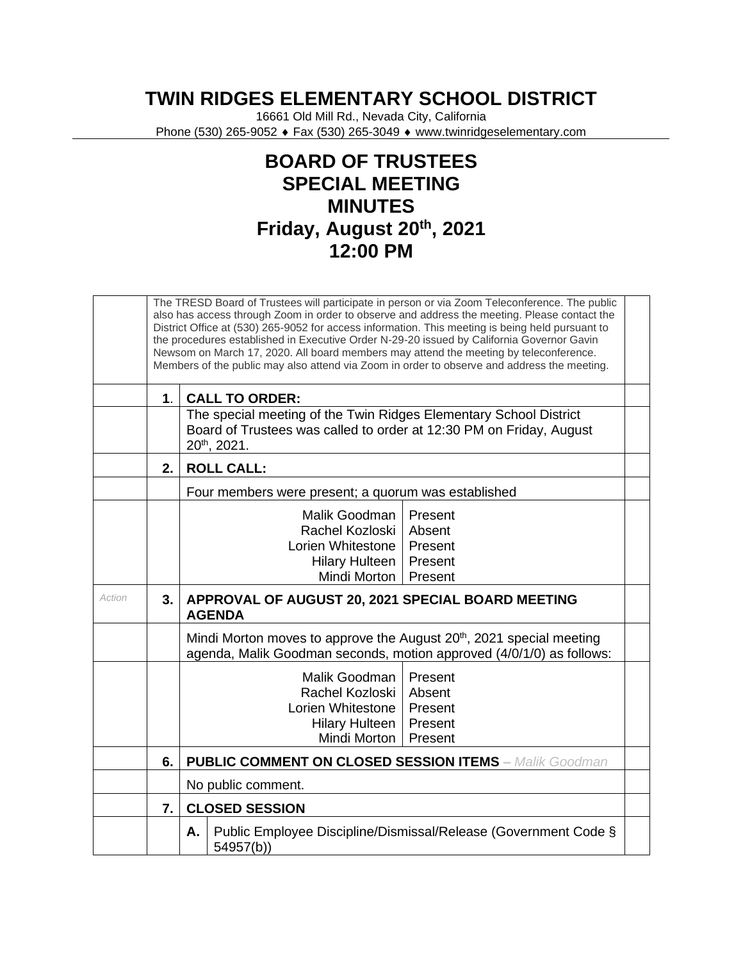## **TWIN RIDGES ELEMENTARY SCHOOL DISTRICT**

16661 Old Mill Rd., Nevada City, California Phone (530) 265-9052 ♦ Fax (530) 265-3049 ♦ www.twinridgeselementary.com

## **BOARD OF TRUSTEES SPECIAL MEETING MINUTES Friday, August 20th, 2021 12:00 PM**

| the procedures established in Executive Order N-29-20 issued by California Governor Gavin<br>Newsom on March 17, 2020. All board members may attend the meeting by teleconference.<br>Members of the public may also attend via Zoom in order to observe and address the meeting. | The TRESD Board of Trustees will participate in person or via Zoom Teleconference. The public<br>also has access through Zoom in order to observe and address the meeting. Please contact the<br>District Office at (530) 265-9052 for access information. This meeting is being held pursuant to |  |  |  |
|-----------------------------------------------------------------------------------------------------------------------------------------------------------------------------------------------------------------------------------------------------------------------------------|---------------------------------------------------------------------------------------------------------------------------------------------------------------------------------------------------------------------------------------------------------------------------------------------------|--|--|--|
| <b>CALL TO ORDER:</b><br>$\mathbf{1}$ .                                                                                                                                                                                                                                           |                                                                                                                                                                                                                                                                                                   |  |  |  |
| The special meeting of the Twin Ridges Elementary School District<br>Board of Trustees was called to order at 12:30 PM on Friday, August<br>$20^{th}$ , 2021.                                                                                                                     |                                                                                                                                                                                                                                                                                                   |  |  |  |
| 2.<br><b>ROLL CALL:</b>                                                                                                                                                                                                                                                           |                                                                                                                                                                                                                                                                                                   |  |  |  |
| Four members were present; a quorum was established                                                                                                                                                                                                                               |                                                                                                                                                                                                                                                                                                   |  |  |  |
| Malik Goodman<br>Present<br>Rachel Kozloski  <br>Absent<br>Present<br>Lorien Whitestone<br>Present<br>Hilary Hulteen  <br>Mindi Morton   Present                                                                                                                                  |                                                                                                                                                                                                                                                                                                   |  |  |  |
| Action<br>APPROVAL OF AUGUST 20, 2021 SPECIAL BOARD MEETING<br>3.<br><b>AGENDA</b>                                                                                                                                                                                                |                                                                                                                                                                                                                                                                                                   |  |  |  |
| Mindi Morton moves to approve the August 20 <sup>th</sup> , 2021 special meeting<br>agenda, Malik Goodman seconds, motion approved (4/0/1/0) as follows:                                                                                                                          |                                                                                                                                                                                                                                                                                                   |  |  |  |
| Malik Goodman   Present<br>Rachel Kozloski<br>Absent<br>Lorien Whitestone<br>Present<br><b>Hilary Hulteen</b><br>Present<br>Mindi Morton  <br>Present                                                                                                                             |                                                                                                                                                                                                                                                                                                   |  |  |  |
| <b>PUBLIC COMMENT ON CLOSED SESSION ITEMS - Malik Goodman</b><br>6.                                                                                                                                                                                                               |                                                                                                                                                                                                                                                                                                   |  |  |  |
| No public comment.                                                                                                                                                                                                                                                                |                                                                                                                                                                                                                                                                                                   |  |  |  |
| <b>CLOSED SESSION</b><br>7.                                                                                                                                                                                                                                                       |                                                                                                                                                                                                                                                                                                   |  |  |  |
| Public Employee Discipline/Dismissal/Release (Government Code §<br>Α.<br>54957(b))                                                                                                                                                                                                |                                                                                                                                                                                                                                                                                                   |  |  |  |